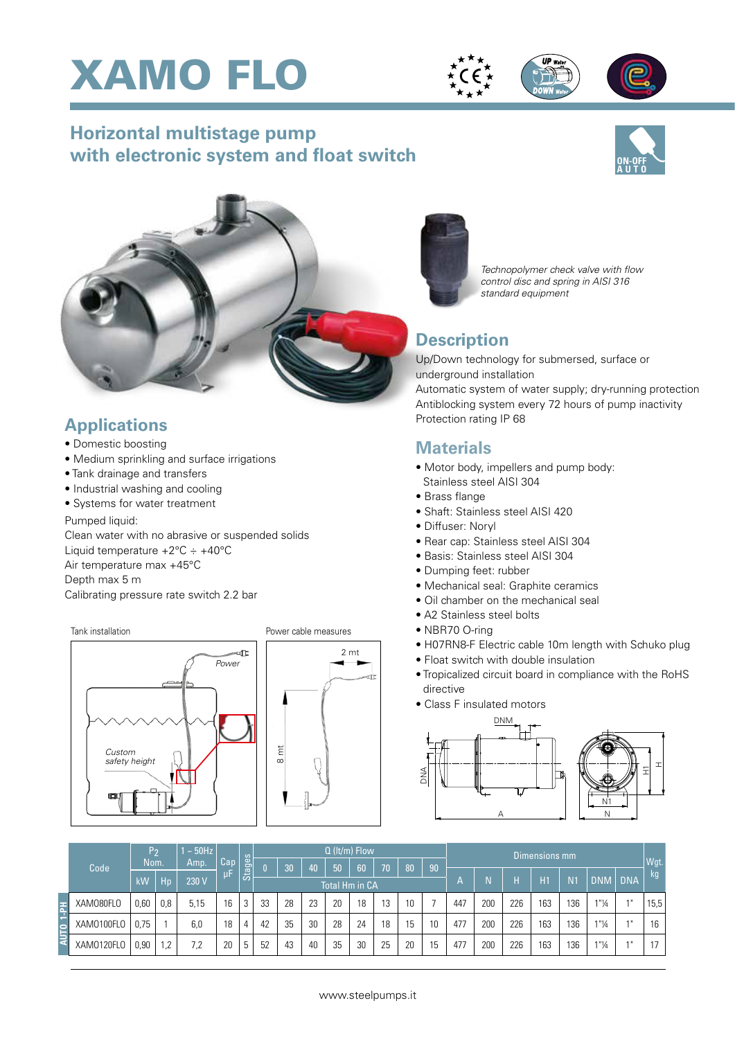





# **Horizontal multistage pump with electronic system and float switch**





## **Applications**

- Domestic boosting
- Medium sprinkling and surface irrigations
- Tank drainage and transfers
- Industrial washing and cooling
- Systems for water treatment

#### Pumped liquid:

Clean water with no abrasive or suspended solids Liquid temperature  $+2^{\circ}$ C  $\div$   $+40^{\circ}$ C Air temperature max +45°C Depth max 5 m Calibrating pressure rate switch 2.2 bar



#### Power cable measures





## **Description**

Up/Down technology for submersed, surface or underground installation

Automatic system of water supply; dry-running protection Antiblocking system every 72 hours of pump inactivity Protection rating IP 68

### **Materials**

- Motor body, impellers and pump body: Stainless steel AISI 304
- Brass flange
- Shaft: Stainless steel AISI 420
- Diffuser: Noryl
- Rear cap: Stainless steel AISI 304
- Basis: Stainless steel AISI 304
- Dumping feet: rubber
- Mechanical seal: Graphite ceramics
- Oil chamber on the mechanical seal
- A2 Stainless steel bolts
- NBR70 O-ring
- H07RN8-F Electric cable 10m length with Schuko plug
- Float switch with double insulation
- Tropicalized circuit board in compliance with the RoHS directive
- Class F insulated motors



| Code       | lP2<br><b>Nom</b> |     | $\sim$ 50Hz<br>Amp. | Cap |        | $Q$ (It/m) Flow       |    |                 |    |    |    |    |    | Dimensions mm |     |     |     |                |                      |            |      |
|------------|-------------------|-----|---------------------|-----|--------|-----------------------|----|-----------------|----|----|----|----|----|---------------|-----|-----|-----|----------------|----------------------|------------|------|
|            |                   |     |                     |     | Stages | n.                    | 30 | 40 <sub>i</sub> | 50 | 60 | 70 | 80 | 90 |               |     |     |     |                |                      |            | Wgt. |
|            | kW                | Hp  | 230 V               | μF  |        | <b>Total Hm in CA</b> |    |                 |    |    |    |    |    |               |     | Н   | H1  | N <sub>1</sub> | <b>DNM</b>           | <b>DNA</b> | kg   |
| XAM080FL0  | 0,60              | 0,8 | 5,15                | 16  | 3      | 33                    | 28 | 23              | 20 | 18 | 13 | 10 |    | 447           | 200 | 226 | 163 | 136            | $1"$ <sup>1</sup> /4 | $A$ II     | 15,5 |
| XAM0100FLO | 0.75              |     | 6,0                 | 18  |        | 42                    | 35 | 30              | 28 | 24 | 18 | 15 | 10 | 477           | 200 | 226 | 163 | 136            | 1"14                 | $A$ II     | 16   |
| XAM0120FLO | 0,90              | .2  | 7,2                 | 20  | b      | 52                    | 43 | 40              | 35 | 30 | 25 | 20 | 15 | 477           | 200 | 226 | 163 | 136            | 1"14                 | $A$ II     | 17   |